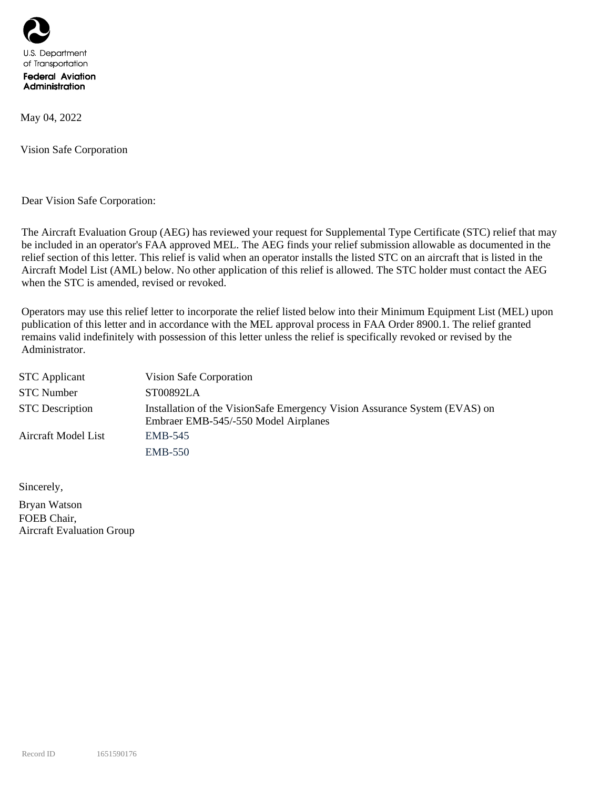

May 04, 2022

Vision Safe Corporation

Dear Vision Safe Corporation:

The Aircraft Evaluation Group (AEG) has reviewed your request for Supplemental Type Certificate (STC) relief that may be included in an operator's FAA approved MEL. The AEG finds your relief submission allowable as documented in the relief section of this letter. This relief is valid when an operator installs the listed STC on an aircraft that is listed in the Aircraft Model List (AML) below. No other application of this relief is allowed. The STC holder must contact the AEG when the STC is amended, revised or revoked.

Operators may use this relief letter to incorporate the relief listed below into their Minimum Equipment List (MEL) upon publication of this letter and in accordance with the MEL approval process in FAA Order 8900.1. The relief granted remains valid indefinitely with possession of this letter unless the relief is specifically revoked or revised by the Administrator.

| <b>STC</b> Applicant   | Vision Safe Corporation                                                                                            |  |  |  |
|------------------------|--------------------------------------------------------------------------------------------------------------------|--|--|--|
| <b>STC Number</b>      | ST00892LA                                                                                                          |  |  |  |
| <b>STC</b> Description | Installation of the VisionSafe Emergency Vision Assurance System (EVAS) on<br>Embraer EMB-545/-550 Model Airplanes |  |  |  |
| Aircraft Model List    | EMB-545                                                                                                            |  |  |  |
|                        | <b>EMB-550</b>                                                                                                     |  |  |  |

Sincerely,

Bryan Watson FOEB Chair, Aircraft Evaluation Group